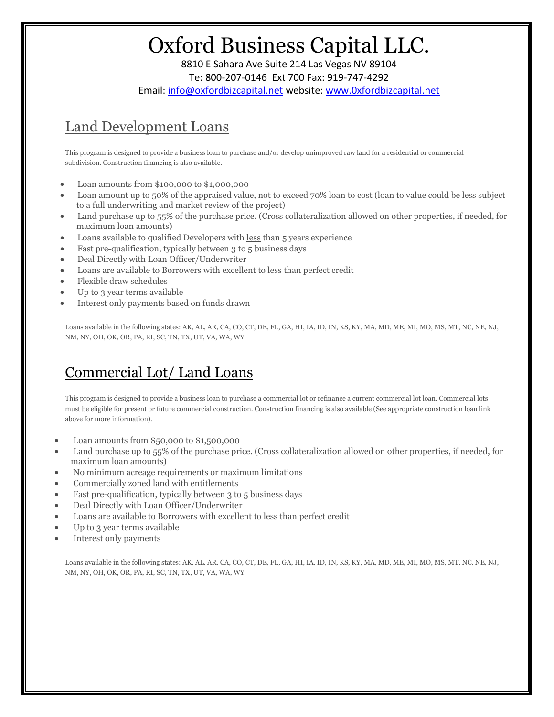8810 E Sahara Ave Suite 214 Las Vegas NV 89104 Te: 800-207-0146 Ext 700 Fax: 919-747-4292 Email: info@oxfordbizcapital.net website: www.0xfordbizcapital.net

## Land Development Loans

This program is designed to provide a business loan to purchase and/or develop unimproved raw land for a residential or commercial subdivision. Construction financing is also available.

- Loan amounts from \$100,000 to \$1,000,000
- Loan amount up to 50% of the appraised value, not to exceed 70% loan to cost (loan to value could be less subject to a full underwriting and market review of the project)
- Land purchase up to 55% of the purchase price. (Cross collateralization allowed on other properties, if needed, for maximum loan amounts)
- Loans available to qualified Developers with less than 5 years experience
- Fast pre-qualification, typically between 3 to 5 business days
- Deal Directly with Loan Officer/Underwriter
- Loans are available to Borrowers with excellent to less than perfect credit
- Flexible draw schedules
- Up to 3 year terms available
- Interest only payments based on funds drawn

Loans available in the following states: AK, AL, AR, CA, CO, CT, DE, FL, GA, HI, IA, ID, IN, KS, KY, MA, MD, ME, MI, MO, MS, MT, NC, NE, NJ, NM, NY, OH, OK, OR, PA, RI, SC, TN, TX, UT, VA, WA, WY

## Commercial Lot/ Land Loans

This program is designed to provide a business loan to purchase a commercial lot or refinance a current commercial lot loan. Commercial lots must be eligible for present or future commercial construction. Construction financing is also available (See appropriate construction loan link above for more information).

- Loan amounts from \$50,000 to \$1,500,000
- Land purchase up to 55% of the purchase price. (Cross collateralization allowed on other properties, if needed, for maximum loan amounts)
- No minimum acreage requirements or maximum limitations
- Commercially zoned land with entitlements
- Fast pre-qualification, typically between 3 to 5 business days
- Deal Directly with Loan Officer/Underwriter
- Loans are available to Borrowers with excellent to less than perfect credit
- Up to 3 year terms available
- Interest only payments

Loans available in the following states: AK, AL, AR, CA, CO, CT, DE, FL, GA, HI, IA, ID, IN, KS, KY, MA, MD, ME, MI, MO, MS, MT, NC, NE, NJ, NM, NY, OH, OK, OR, PA, RI, SC, TN, TX, UT, VA, WA, WY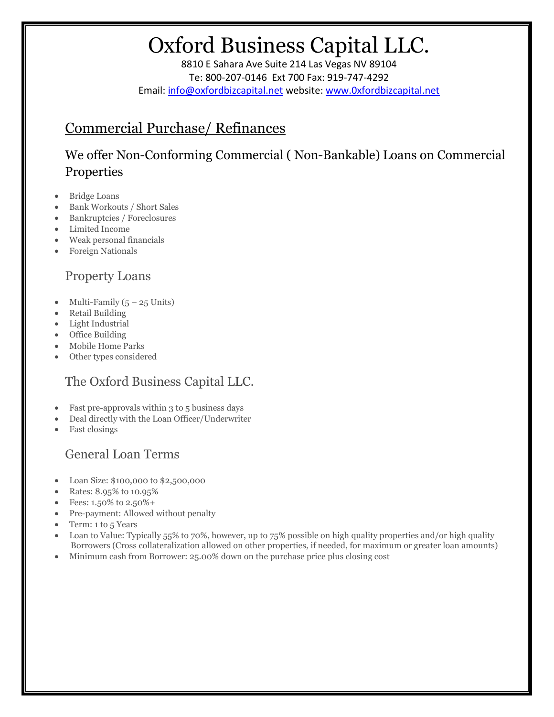8810 E Sahara Ave Suite 214 Las Vegas NV 89104 Te: 800-207-0146 Ext 700 Fax: 919-747-4292 Email: info@oxfordbizcapital.net website: www.0xfordbizcapital.net

#### Commercial Purchase/ Refinances

We offer Non-Conforming Commercial ( Non-Bankable) Loans on Commercial Properties

- Bridge Loans
- Bank Workouts / Short Sales
- Bankruptcies / Foreclosures
- Limited Income
- Weak personal financials
- Foreign Nationals

#### Property Loans

- Multi-Family  $(5 25 \text{ Units})$
- Retail Building
- Light Industrial
- Office Building
- Mobile Home Parks
- Other types considered

#### The Oxford Business Capital LLC.

- Fast pre-approvals within 3 to 5 business days
- Deal directly with the Loan Officer/Underwriter
- Fast closings

#### General Loan Terms

- Loan Size: \$100,000 to \$2,500,000
- Rates: 8.95% to 10.95%
- Fees: 1.50% to 2.50%+
- Pre-payment: Allowed without penalty
- Term: 1 to 5 Years
- Loan to Value: Typically 55% to 70%, however, up to 75% possible on high quality properties and/or high quality Borrowers (Cross collateralization allowed on other properties, if needed, for maximum or greater loan amounts)
- Minimum cash from Borrower: 25.00% down on the purchase price plus closing cost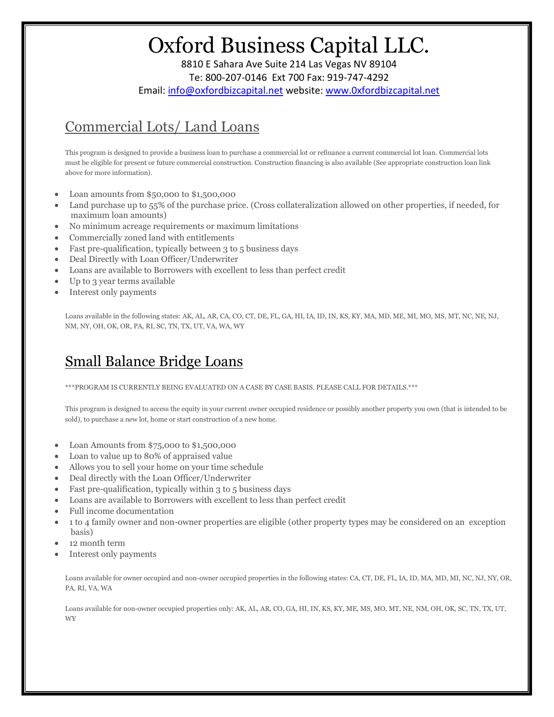8810 E Sahara Ave Suite 214 Las Vegas NV 89104 Te: 800-207-0146 Ext 700 Fax: 919-747-4292 Email: info@oxfordbizcapital.net website: www.0xfordbizcapital.net

## Commercial Lots/ Land Loans

This program is designed to provide a business loan to purchase a commercial lot or refinance a current commercial lot loan. Commercial lots must be eligible for present or future commercial construction. Construction financing is also available (See appropriate construction loan link above for more information).

- Loan amounts from \$50,000 to \$1,500,000
- Land purchase up to 55% of the purchase price. (Cross collateralization allowed on other properties, if needed, for maximum loan amounts)
- No minimum acreage requirements or maximum limitations
- Commercially zoned land with entitlements
- Fast pre-qualification, typically between 3 to 5 business days
- Deal Directly with Loan Officer/Underwriter
- Loans are available to Borrowers with excellent to less than perfect credit
- Up to 3 year terms available
- Interest only payments

Loans available in the following states: AK, AL, AR, CA, CO, CT, DE, FL, GA, HI, IA, ID, IN, KS, KY, MA, MD, ME, MI, MO, MS, MT, NC, NE, NJ, NM, NY, OH, OK, OR, PA, RI, SC, TN, TX, UT, VA, WA, WY

#### Small Balance Bridge Loans

\*\*\*PROGRAM IS CURRENTLY BEING EVALUATED ON A CASE BY CASE BASIS. PLEASE CALL FOR DETAILS.\*\*\*

This program is designed to access the equity in your current owner occupied residence or possibly another property you own (that is intended to be sold), to purchase a new lot, home or start construction of a new home.

- Loan Amounts from \$75,000 to \$1,500,000
- Loan to value up to 80% of appraised value
- Allows you to sell your home on your time schedule
- Deal directly with the Loan Officer/Underwriter
- Fast pre-qualification, typically within 3 to 5 business days
- Loans are available to Borrowers with excellent to less than perfect credit
- Full income documentation
- 1 to 4 family owner and non-owner properties are eligible (other property types may be considered on an exception basis)
- 12 month term
- Interest only payments

Loans available for owner occupied and non-owner occupied properties in the following states: CA, CT, DE, FL, IA, ID, MA, MD, MI, NC, NJ, NY, OR, PA, RI, VA, WA

Loans available for non-owner occupied properties only: AK, AL, AR, CO, GA, HI, IN, KS, KY, ME, MS, MO, MT, NE, NM, OH, OK, SC, TN, TX, UT, WY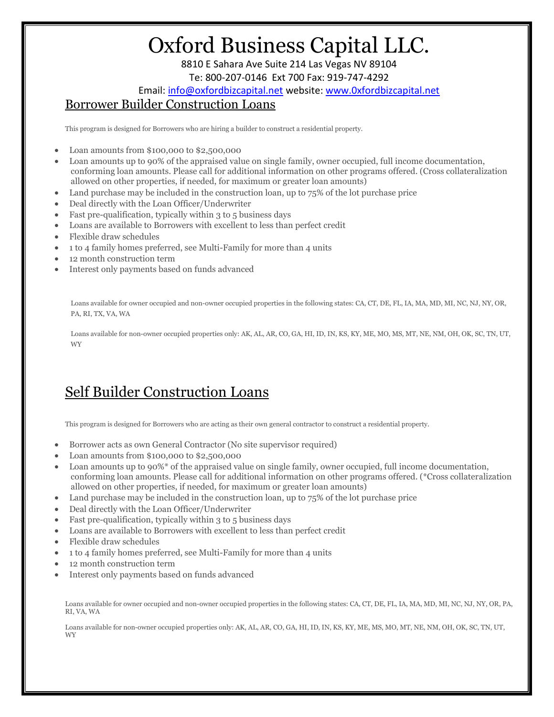8810 E Sahara Ave Suite 214 Las Vegas NV 89104 Te: 800-207-0146 Ext 700 Fax: 919-747-4292

Email: info@oxfordbizcapital.net website: www.0xfordbizcapital.net Borrower Builder Construction Loans

This program is designed for Borrowers who are hiring a builder to construct a residential property.

- Loan amounts from \$100,000 to \$2,500,000
- Loan amounts up to 90% of the appraised value on single family, owner occupied, full income documentation, conforming loan amounts. Please call for additional information on other programs offered. (Cross collateralization allowed on other properties, if needed, for maximum or greater loan amounts)
- Land purchase may be included in the construction loan, up to  $75\%$  of the lot purchase price
- Deal directly with the Loan Officer/Underwriter
- Fast pre-qualification, typically within 3 to 5 business days
- Loans are available to Borrowers with excellent to less than perfect credit
- Flexible draw schedules
- 1 to 4 family homes preferred, see Multi-Family for more than 4 units
- 12 month construction term
- Interest only payments based on funds advanced

Loans available for owner occupied and non-owner occupied properties in the following states: CA, CT, DE, FL, IA, MA, MD, MI, NC, NJ, NY, OR, PA, RI, TX, VA, WA

Loans available for non-owner occupied properties only: AK, AL, AR, CO, GA, HI, ID, IN, KS, KY, ME, MO, MS, MT, NE, NM, OH, OK, SC, TN, UT, WY

#### Self Builder Construction Loans

This program is designed for Borrowers who are acting as their own general contractor to construct a residential property.

- Borrower acts as own General Contractor (No site supervisor required)
- Loan amounts from \$100,000 to \$2,500,000
- Loan amounts up to 90%\* of the appraised value on single family, owner occupied, full income documentation, conforming loan amounts. Please call for additional information on other programs offered. (\*Cross collateralization allowed on other properties, if needed, for maximum or greater loan amounts)
- Land purchase may be included in the construction loan, up to 75% of the lot purchase price
- Deal directly with the Loan Officer/Underwriter
- Fast pre-qualification, typically within 3 to 5 business days
- Loans are available to Borrowers with excellent to less than perfect credit
- Flexible draw schedules
- 1 to 4 family homes preferred, see Multi-Family for more than 4 units
- 12 month construction term
- Interest only payments based on funds advanced

Loans available for owner occupied and non-owner occupied properties in the following states: CA, CT, DE, FL, IA, MA, MD, MI, NC, NJ, NY, OR, PA, RI, VA, WA

Loans available for non-owner occupied properties only: AK, AL, AR, CO, GA, HI, ID, IN, KS, KY, ME, MS, MO, MT, NE, NM, OH, OK, SC, TN, UT, WY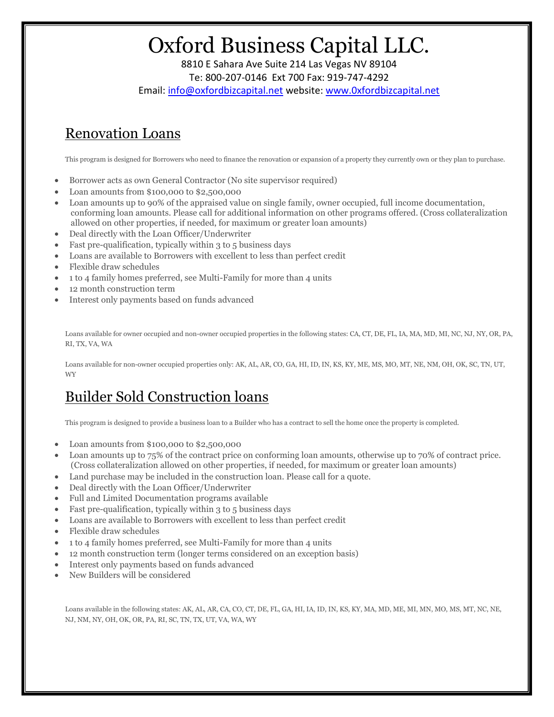8810 E Sahara Ave Suite 214 Las Vegas NV 89104 Te: 800-207-0146 Ext 700 Fax: 919-747-4292 Email: info@oxfordbizcapital.net website: www.0xfordbizcapital.net

## Renovation Loans

This program is designed for Borrowers who need to finance the renovation or expansion of a property they currently own or they plan to purchase.

- Borrower acts as own General Contractor (No site supervisor required)
- Loan amounts from \$100,000 to \$2,500,000
- Loan amounts up to 90% of the appraised value on single family, owner occupied, full income documentation, conforming loan amounts. Please call for additional information on other programs offered. (Cross collateralization allowed on other properties, if needed, for maximum or greater loan amounts)
- Deal directly with the Loan Officer/Underwriter
- Fast pre-qualification, typically within 3 to 5 business days
- Loans are available to Borrowers with excellent to less than perfect credit
- Flexible draw schedules
- 1 to 4 family homes preferred, see Multi-Family for more than 4 units
- 12 month construction term
- Interest only payments based on funds advanced

Loans available for owner occupied and non-owner occupied properties in the following states: CA, CT, DE, FL, IA, MA, MD, MI, NC, NJ, NY, OR, PA, RI, TX, VA, WA

Loans available for non-owner occupied properties only: AK, AL, AR, CO, GA, HI, ID, IN, KS, KY, ME, MS, MO, MT, NE, NM, OH, OK, SC, TN, UT, WY

## Builder Sold Construction loans

This program is designed to provide a business loan to a Builder who has a contract to sell the home once the property is completed.

- Loan amounts from \$100,000 to \$2,500,000
- Loan amounts up to 75% of the contract price on conforming loan amounts, otherwise up to 70% of contract price. (Cross collateralization allowed on other properties, if needed, for maximum or greater loan amounts)
- Land purchase may be included in the construction loan. Please call for a quote.
- Deal directly with the Loan Officer/Underwriter
- Full and Limited Documentation programs available
- Fast pre-qualification, typically within 3 to 5 business days
- Loans are available to Borrowers with excellent to less than perfect credit
- Flexible draw schedules
- 1 to 4 family homes preferred, see Multi-Family for more than 4 units
- 12 month construction term (longer terms considered on an exception basis)
- Interest only payments based on funds advanced
- New Builders will be considered

Loans available in the following states: AK, AL, AR, CA, CO, CT, DE, FL, GA, HI, IA, ID, IN, KS, KY, MA, MD, ME, MI, MN, MO, MS, MT, NC, NE, NJ, NM, NY, OH, OK, OR, PA, RI, SC, TN, TX, UT, VA, WA, WY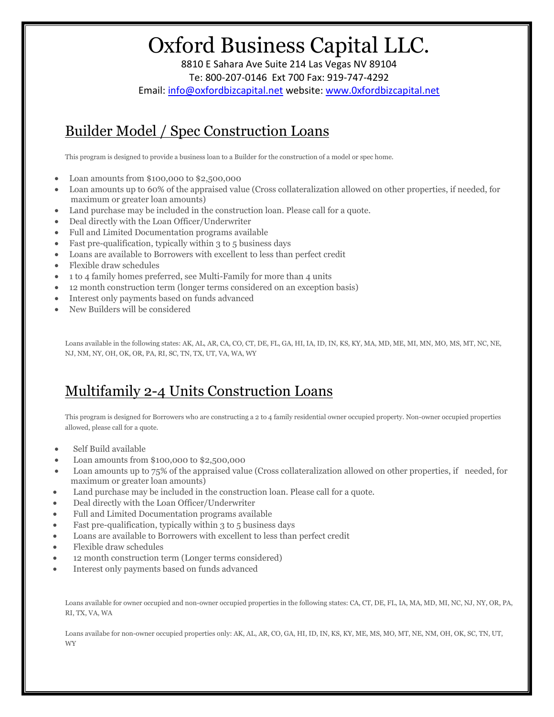8810 E Sahara Ave Suite 214 Las Vegas NV 89104 Te: 800-207-0146 Ext 700 Fax: 919-747-4292 Email: info@oxfordbizcapital.net website: www.0xfordbizcapital.net

## Builder Model / Spec Construction Loans

This program is designed to provide a business loan to a Builder for the construction of a model or spec home.

- Loan amounts from \$100,000 to \$2,500,000
- Loan amounts up to 60% of the appraised value (Cross collateralization allowed on other properties, if needed, for maximum or greater loan amounts)
- Land purchase may be included in the construction loan. Please call for a quote.
- Deal directly with the Loan Officer/Underwriter
- Full and Limited Documentation programs available
- Fast pre-qualification, typically within 3 to 5 business days
- Loans are available to Borrowers with excellent to less than perfect credit
- Flexible draw schedules
- 1 to 4 family homes preferred, see Multi-Family for more than 4 units
- 12 month construction term (longer terms considered on an exception basis)
- Interest only payments based on funds advanced
- New Builders will be considered

Loans available in the following states: AK, AL, AR, CA, CO, CT, DE, FL, GA, HI, IA, ID, IN, KS, KY, MA, MD, ME, MI, MN, MO, MS, MT, NC, NE, NJ, NM, NY, OH, OK, OR, PA, RI, SC, TN, TX, UT, VA, WA, WY

## Multifamily 2-4 Units Construction Loans

This program is designed for Borrowers who are constructing a 2 to 4 family residential owner occupied property. Non-owner occupied properties allowed, please call for a quote.

- Self Build available
- Loan amounts from \$100,000 to \$2,500,000
- Loan amounts up to 75% of the appraised value (Cross collateralization allowed on other properties, if needed, for maximum or greater loan amounts)
- Land purchase may be included in the construction loan. Please call for a quote.
- Deal directly with the Loan Officer/Underwriter
- Full and Limited Documentation programs available
- Fast pre-qualification, typically within 3 to 5 business days
- Loans are available to Borrowers with excellent to less than perfect credit
- Flexible draw schedules
- 12 month construction term (Longer terms considered)
- Interest only payments based on funds advanced

Loans available for owner occupied and non-owner occupied properties in the following states: CA, CT, DE, FL, IA, MA, MD, MI, NC, NJ, NY, OR, PA, RI, TX, VA, WA

Loans availabe for non-owner occupied properties only: AK, AL, AR, CO, GA, HI, ID, IN, KS, KY, ME, MS, MO, MT, NE, NM, OH, OK, SC, TN, UT, WY